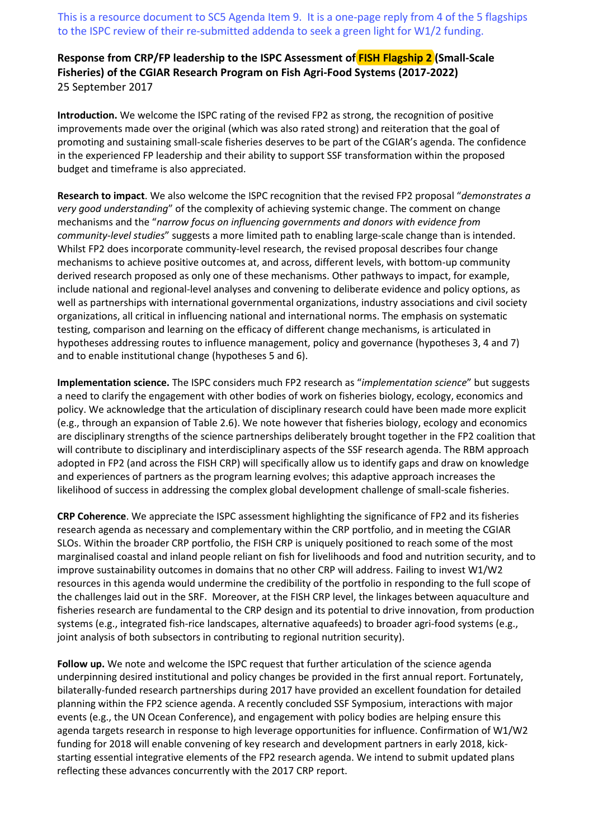This is a resource document to SC5 Agenda Item 9. It is a one-page reply from 4 of the 5 flagships to the ISPC review of their re-submitted addenda to seek a green light for W1/2 funding.

## **Response from CRP/FP leadership to the ISPC Assessment of FISH Flagship 2 (Small-Scale Fisheries) of the CGIAR Research Program on Fish Agri-Food Systems (2017-2022)**  25 September 2017

**Introduction.** We welcome the ISPC rating of the revised FP2 as strong, the recognition of positive improvements made over the original (which was also rated strong) and reiteration that the goal of promoting and sustaining small-scale fisheries deserves to be part of the CGIAR's agenda. The confidence in the experienced FP leadership and their ability to support SSF transformation within the proposed budget and timeframe is also appreciated.

**Research to impact**. We also welcome the ISPC recognition that the revised FP2 proposal "*demonstrates a very good understanding*" of the complexity of achieving systemic change. The comment on change mechanisms and the "*narrow focus on influencing governments and donors with evidence from community-level studies*" suggests a more limited path to enabling large-scale change than is intended. Whilst FP2 does incorporate community-level research, the revised proposal describes four change mechanisms to achieve positive outcomes at, and across, different levels, with bottom-up community derived research proposed as only one of these mechanisms. Other pathways to impact, for example, include national and regional-level analyses and convening to deliberate evidence and policy options, as well as partnerships with international governmental organizations, industry associations and civil society organizations, all critical in influencing national and international norms. The emphasis on systematic testing, comparison and learning on the efficacy of different change mechanisms, is articulated in hypotheses addressing routes to influence management, policy and governance (hypotheses 3, 4 and 7) and to enable institutional change (hypotheses 5 and 6).

**Implementation science.** The ISPC considers much FP2 research as "*implementation science*" but suggests a need to clarify the engagement with other bodies of work on fisheries biology, ecology, economics and policy. We acknowledge that the articulation of disciplinary research could have been made more explicit (e.g., through an expansion of Table 2.6). We note however that fisheries biology, ecology and economics are disciplinary strengths of the science partnerships deliberately brought together in the FP2 coalition that will contribute to disciplinary and interdisciplinary aspects of the SSF research agenda. The RBM approach adopted in FP2 (and across the FISH CRP) will specifically allow us to identify gaps and draw on knowledge and experiences of partners as the program learning evolves; this adaptive approach increases the likelihood of success in addressing the complex global development challenge of small-scale fisheries.

**CRP Coherence**. We appreciate the ISPC assessment highlighting the significance of FP2 and its fisheries research agenda as necessary and complementary within the CRP portfolio, and in meeting the CGIAR SLOs. Within the broader CRP portfolio, the FISH CRP is uniquely positioned to reach some of the most marginalised coastal and inland people reliant on fish for livelihoods and food and nutrition security, and to improve sustainability outcomes in domains that no other CRP will address. Failing to invest W1/W2 resources in this agenda would undermine the credibility of the portfolio in responding to the full scope of the challenges laid out in the SRF. Moreover, at the FISH CRP level, the linkages between aquaculture and fisheries research are fundamental to the CRP design and its potential to drive innovation, from production systems (e.g., integrated fish-rice landscapes, alternative aquafeeds) to broader agri-food systems (e.g., joint analysis of both subsectors in contributing to regional nutrition security).

**Follow up.** We note and welcome the ISPC request that further articulation of the science agenda underpinning desired institutional and policy changes be provided in the first annual report. Fortunately, bilaterally-funded research partnerships during 2017 have provided an excellent foundation for detailed planning within the FP2 science agenda. A recently concluded SSF Symposium, interactions with major events (e.g., the UN Ocean Conference), and engagement with policy bodies are helping ensure this agenda targets research in response to high leverage opportunities for influence. Confirmation of W1/W2 funding for 2018 will enable convening of key research and development partners in early 2018, kickstarting essential integrative elements of the FP2 research agenda. We intend to submit updated plans reflecting these advances concurrently with the 2017 CRP report.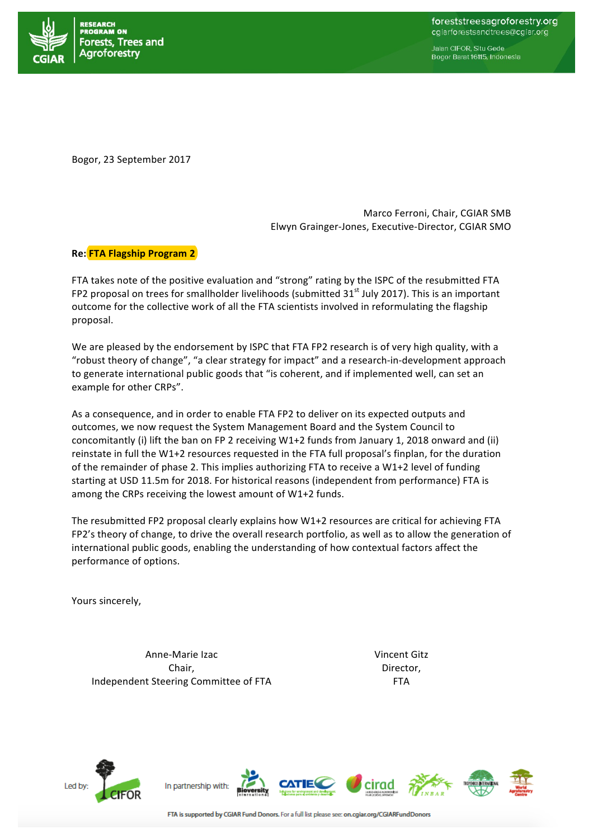

Jalan CIFOR, Situ Gede Bogor Barat 16115, Indonesia

Bogor, 23 September 2017

Marco Ferroni, Chair, CGIAR SMB Elwyn Grainger-Jones, Executive-Director, CGIAR SMO

## **Re:** FTA Flagship Program 2

FTA takes note of the positive evaluation and "strong" rating by the ISPC of the resubmitted FTA FP2 proposal on trees for smallholder livelihoods (submitted  $31<sup>st</sup>$  July 2017). This is an important outcome for the collective work of all the FTA scientists involved in reformulating the flagship proposal.

We are pleased by the endorsement by ISPC that FTA FP2 research is of very high quality, with a "robust theory of change", "a clear strategy for impact" and a research-in-development approach to generate international public goods that "is coherent, and if implemented well, can set an example for other CRPs".

As a consequence, and in order to enable FTA FP2 to deliver on its expected outputs and outcomes, we now request the System Management Board and the System Council to concomitantly (i) lift the ban on FP 2 receiving W1+2 funds from January 1, 2018 onward and (ii) reinstate in full the W1+2 resources requested in the FTA full proposal's finplan, for the duration of the remainder of phase 2. This implies authorizing FTA to receive a W1+2 level of funding starting at USD 11.5m for 2018. For historical reasons (independent from performance) FTA is among the CRPs receiving the lowest amount of  $W1+2$  funds.

The resubmitted FP2 proposal clearly explains how W1+2 resources are critical for achieving FTA FP2's theory of change, to drive the overall research portfolio, as well as to allow the generation of international public goods, enabling the understanding of how contextual factors affect the performance of options.

Yours sincerely,

Anne-Marie Izac Chair, Independent Steering Committee of FTA Vincent Gitz Director, FTA



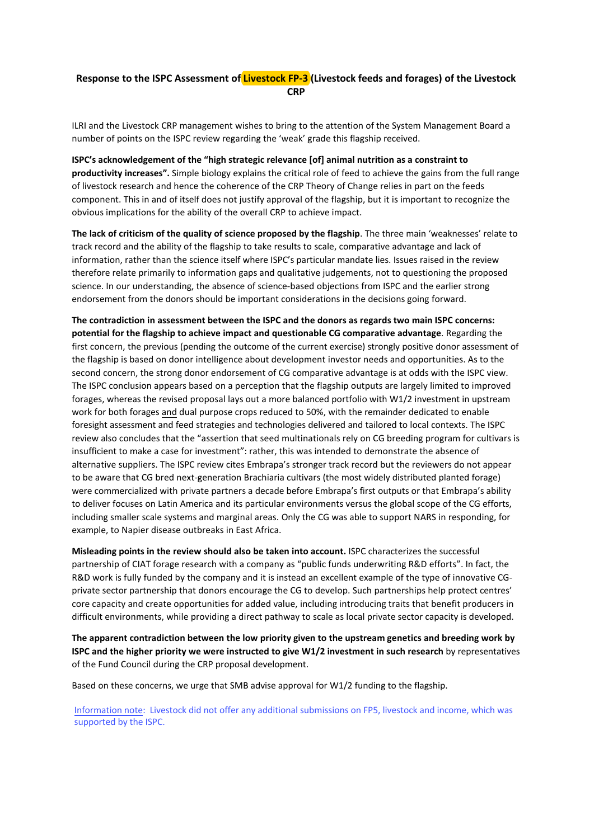## **Response to the ISPC Assessment of Livestock FP-3 (Livestock feeds and forages) of the Livestock CRP**

ILRI and the Livestock CRP management wishes to bring to the attention of the System Management Board a number of points on the ISPC review regarding the 'weak' grade this flagship received.

**ISPC's acknowledgement of the "high strategic relevance [of] animal nutrition as a constraint to productivity increases".** Simple biology explains the critical role of feed to achieve the gains from the full range of livestock research and hence the coherence of the CRP Theory of Change relies in part on the feeds component. This in and of itself does not justify approval of the flagship, but it is important to recognize the obvious implications for the ability of the overall CRP to achieve impact.

**The lack of criticism of the quality of science proposed by the flagship**. The three main 'weaknesses' relate to track record and the ability of the flagship to take results to scale, comparative advantage and lack of information, rather than the science itself where ISPC's particular mandate lies. Issues raised in the review therefore relate primarily to information gaps and qualitative judgements, not to questioning the proposed science. In our understanding, the absence of science-based objections from ISPC and the earlier strong endorsement from the donors should be important considerations in the decisions going forward.

**The contradiction in assessment between the ISPC and the donors as regards two main ISPC concerns: potential for the flagship to achieve impact and questionable CG comparative advantage**. Regarding the first concern, the previous (pending the outcome of the current exercise) strongly positive donor assessment of the flagship is based on donor intelligence about development investor needs and opportunities. As to the second concern, the strong donor endorsement of CG comparative advantage is at odds with the ISPC view. The ISPC conclusion appears based on a perception that the flagship outputs are largely limited to improved forages, whereas the revised proposal lays out a more balanced portfolio with W1/2 investment in upstream work for both forages and dual purpose crops reduced to 50%, with the remainder dedicated to enable foresight assessment and feed strategies and technologies delivered and tailored to local contexts. The ISPC review also concludes that the "assertion that seed multinationals rely on CG breeding program for cultivars is insufficient to make a case for investment": rather, this was intended to demonstrate the absence of alternative suppliers. The ISPC review cites Embrapa's stronger track record but the reviewers do not appear to be aware that CG bred next-generation Brachiaria cultivars (the most widely distributed planted forage) were commercialized with private partners a decade before Embrapa's first outputs or that Embrapa's ability to deliver focuses on Latin America and its particular environments versus the global scope of the CG efforts, including smaller scale systems and marginal areas. Only the CG was able to support NARS in responding, for example, to Napier disease outbreaks in East Africa.

**Misleading points in the review should also be taken into account.** ISPC characterizes the successful partnership of CIAT forage research with a company as "public funds underwriting R&D efforts". In fact, the R&D work is fully funded by the company and it is instead an excellent example of the type of innovative CGprivate sector partnership that donors encourage the CG to develop. Such partnerships help protect centres' core capacity and create opportunities for added value, including introducing traits that benefit producers in difficult environments, while providing a direct pathway to scale as local private sector capacity is developed.

**The apparent contradiction between the low priority given to the upstream genetics and breeding work by ISPC and the higher priority we were instructed to give W1/2 investment in such research** by representatives of the Fund Council during the CRP proposal development.

Based on these concerns, we urge that SMB advise approval for W1/2 funding to the flagship.

Information note: Livestock did not offer any additional submissions on FP5, livestock and income, which was supported by the ISPC.